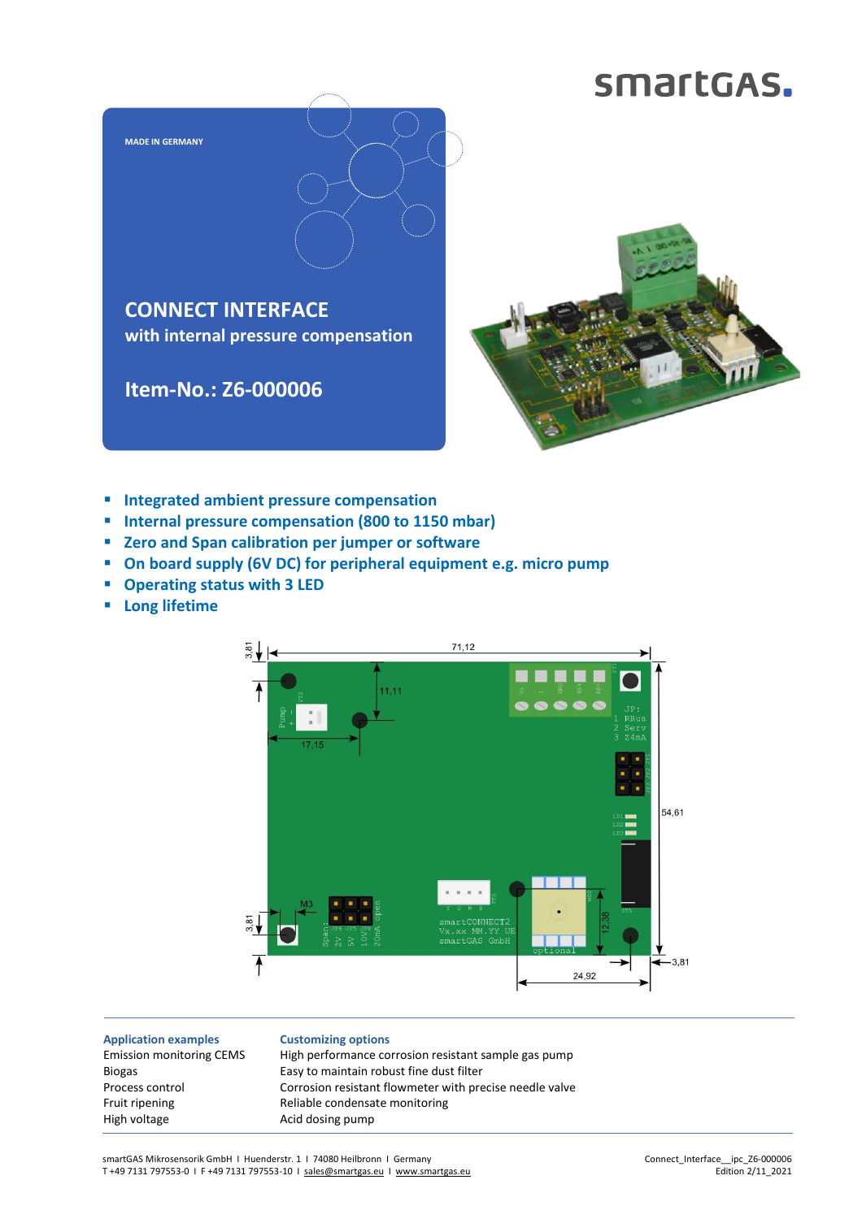## smartGAS.



- **Integrated ambient pressure compensation**
- **Internal pressure compensation (800 to 1150 mbar)**
- **Zero and Span calibration per jumper or software**
- **On board supply (6V DC) for peripheral equipment e.g. micro pump**
- **Operating status with 3 LED**
- **Long lifetime**



**Application examples** Emission monitoring CEMS Biogas Process control Fruit ripening High voltage

**Customizing options** High performance corrosion resistant sample gas pump Easy to maintain robust fine dust filter Corrosion resistant flowmeter with precise needle valve Reliable condensate monitoring Acid dosing pump